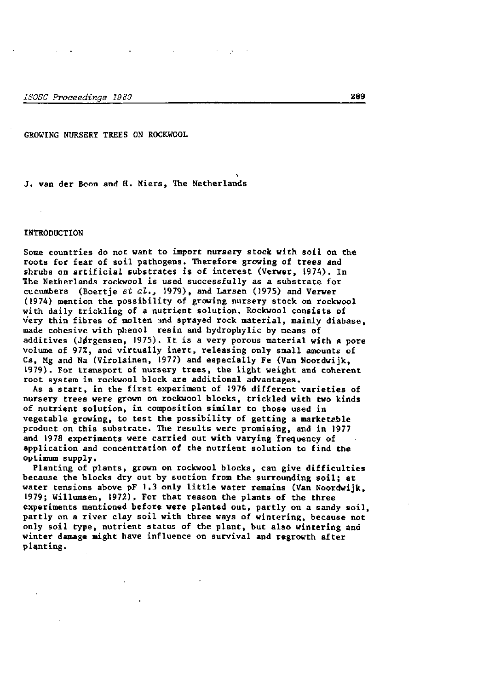GROWING NURSERY TREES ON ROCKWOOL

J. van der Boon and H. Niers, The Netherlands

## INTRODUCTION

Some countries do not want to import nursery stock with soil on the roots for fear of soil pathogens. Therefore growing of trees and shrubs on artificial substrates is of interest (Verwer, 1974). In The Netherlands rockwool is used successfully as a substrate for cucumbers (Boertje *et al.a* 1979), and Larsen (1975) and Verwer (1974) mention the possibility of growing nursery stock on rockwool with daily trickling of a nutrient solution. Rockwool consists of very thin fibres of molten and sprayed rock material, mainly diabase, made cohesive with phenol resin and hydrophylic by means of additives (Jørgensen, 1975). It is a very porous material with a pore volume of 97%, and virtually inert, releasing only small amounts of Ca, Mg and Na (Virolainen, 1977) and especially Fe (Van Noordwijk, 1979). For transport of nursery trees, the light weight and coherent root system in rockwool block are additional advantages.

As a start, in the first experiment of 1976 different varieties of nursery trees were grown on rockwool blocks, trickled with two kinds of nutrient solution, in composition similar to those used in vegetable growing, to test the possibility of getting a marketable product on this substrate. The results were promising, and in 1977 and 1978 experiments were carried out with varying frequency of application and concentration of the nutrient solution to find the optimum supply.

Planting of plants, grown on rockwool blocks, can give difficulties because the blocks dry out by suction from the surrounding soil; at water tensions above pF 1.3 only little water remains (Van Noordwijk, 1979; Willumsen, 1972). For that reason the plants of the three experiments mentioned before were planted out, partly on a sandy soil, partly on a river clay soil with three ways of wintering, because not only soil type, nutrient status of the plant, but also wintering and winter damage might have influence on survival and regrowth after planting.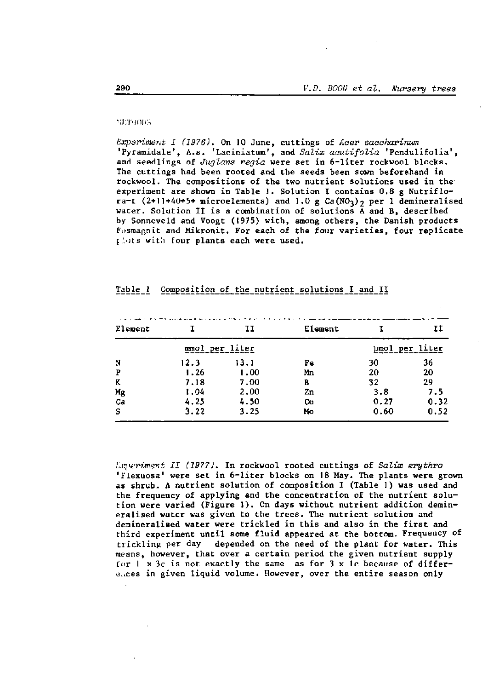### **METHODS**

Experiment I (1976). On 10 June, cuttings of Acer saccharinum 'Pyramidale', A.s. 'Laciniatum', and Salix acutifolia 'Pendulifolia', and seedlings of Juglans regia were set in 6-liter rockwool blocks. The cuttings had been rooted and the seeds been sown beforehand in rockwool. The compositions of the two nutrient solutions used in the experiment are shown in Table 1. Solution I contains 0.8 g Nutriflora-t (2+11+40+5+ microelements) and 1.0 g  $Ca(NO<sub>3</sub>)<sub>2</sub>$  per 1 demineralised water. Solution II is a combination of solutions  $\bar{A}$  and  $B$ , described by Sonneveld and Voogt (1975) with, among others, the Danish products Fosmagnit and Mikronit. For each of the four varieties, four replicate plots with four plants each were used.

| Element  |      | 11             | Element |      | IΙ             |
|----------|------|----------------|---------|------|----------------|
|          |      | mmol per liter |         |      | umol per liter |
| N        | 12.3 | 13.1           | Fe      | 30   | 36             |
| Р        | 1.26 | 1.00           | Мn      | 20   | 20             |
| K        | 7.18 | 7.00           | в       | 32   | 29             |
|          | 1.04 | 2,00           | Zn      | 3.8  | 7.5            |
| Mg<br>Ca | 4.25 | 4.50           | Cu      | 0.27 | 0.32           |
| s        | 3.22 | 3.25           | Mo      | 0.60 | 0.52           |

# Table 1 Composition of the nutrient solutions I and II

Lxperiment II (1977). In rockwool rooted cuttings of Salix erythro 'Flexuosa' were set in 6-liter blocks on 18 May. The plants were grown as shrub. A nutrient solution of composition I (Table 1) was used and the frequency of applying and the concentration of the nutrient solution were varied (Figure 1). On days without nutrient addition demineralised water was given to the trees. The nutrient solution and demineralined water were trickled in this and also in the first and third experiment until some fluid appeared at the bottom. Frequency of trickling per day depended on the need of the plant for water. This means, however, that over a certain period the given nutrient supply for 1 x 3c is not exactly the same as for 3 x 1c because of differences in given liquid volume. However, over the entire season only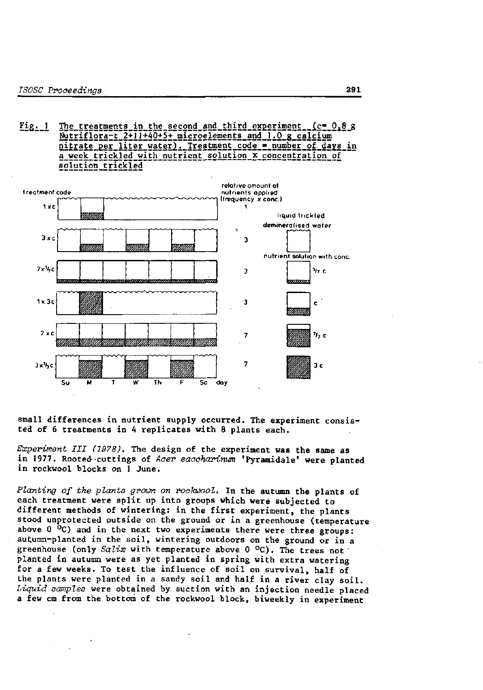The treatments in the second and third experiment  $(c = 0.8 g)$  $Fig. 1$ Nutriflora-t 2+11+40+5+ microelements and 1.0 g calcium nitrate per liter water). Treatment code = number of days in a week trickled with nutrient solution x concentration of solution trickled



small differences in nutrient supply occurred. The experiment consisted of 6 treatments in 4 replicates with 8 plants each.

Experiment III (1978). The design of the experiment was the same as in 1977. Rooted cuttings of Acer saccharinum 'Pyramidale' were planted in rockwool blocks on 1 June.

Planting of the plants grown on rockwool. In the autumn the plants of each treatment were split up into groups which were subjected to different methods of wintering: in the first experiment, the plants stood unprotected outside on the ground or in a greenhouse (temperature above  $0\,^{\circ}\mathrm{C}$ ) and in the next two experiments there were three groups: autumn-planted in the soil, wintering outdoors on the ground or in a greenhouse (only Salix with temperature above 0  $^{\circ}$ C). The trees not planted in autumn were as yet planted in spring with extra watering for a few weeks. To test the influence of soil on survival, half of the plants were planted in a sandy soil and half in a river clay soil. Liquid samples were obtained by suction with an injection needle placed a few cm from the bottom of the rockwool block, biweekly in experiment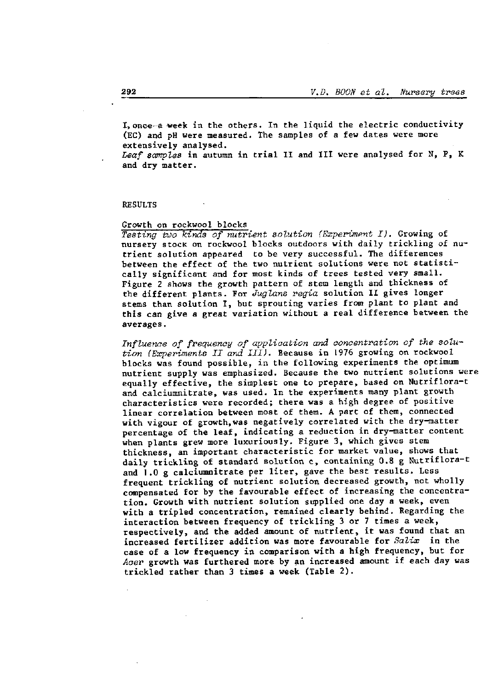I, once a week in the others. In the liquid the electric conductivity (EC) and pH were measured. The samples of a few dates were more extensively analysed.

*Leaf samples* in autumn in trial II and III were analysed for N, P, K and dry matter.

### RESULTS

### Growth on rockwool blocks

*Testing two kinds of nutrient solution (Experiment I).* Growing of nursery stock on rockwool blocks outdoors with daily trickling of nutrient solution appeared to be very successful. The differences between the effect of the two nutrient solutions were not statistically significant and for most kinds of trees tested very small. Figure 2 shows the growth pattern of stem length and thickness of the different plants. For *Jugions regia* solution II gives longer stems than solution I, but sprouting varies from plant to plant and this can give a great variation without a real difference between the averages.

*Influence of frequency of application and concentration of the solution (Experiments II and III).* Because in 1976 growing on rockwool blocks was found possible, in the following experiments the optimum nutrient supply was emphasized. Because the two nutrient solutions were equally effective, the simplest one to prepare, based on Nutriflora-t and calciumnitrate, was used. In the experiments many plant growth characteristics were recorded; there was a high degree of positive linear correlation between most of them. A part of them, connected with vigour of growth,was negatively correlated with the dry-matter percentage of the leaf, indicating a reduction in dry-matter content when plants grew more luxuriously. Figure 3, which gives stem thickness, an important characteristic for market value, shows that daily trickling of standard solution c, containing 0.8 g Nutriflora-t and 1.0 g calciumnitrate per liter, gave the best results. Less frequent trickling of nutrient solution decreased growth, not wholly compensated for by the favourable effect of increasing the concentration. Growth with nutrient solution supplied one day a week, even with a tripled concentration, remained clearly behind. Regarding the interaction between frequency of trickling 3 or 7 times a week, respectively, and the added amount of nutrient, it was found that an increased fertilizer addition was more favourable for *Salix* in the case of a low frequency in comparison with a high frequency. case of a fow frequency in comparison with a night frequency. Acer growth was furthered more by an increased amount if each day was<br>trickled rather than 3 times a week (Table 2).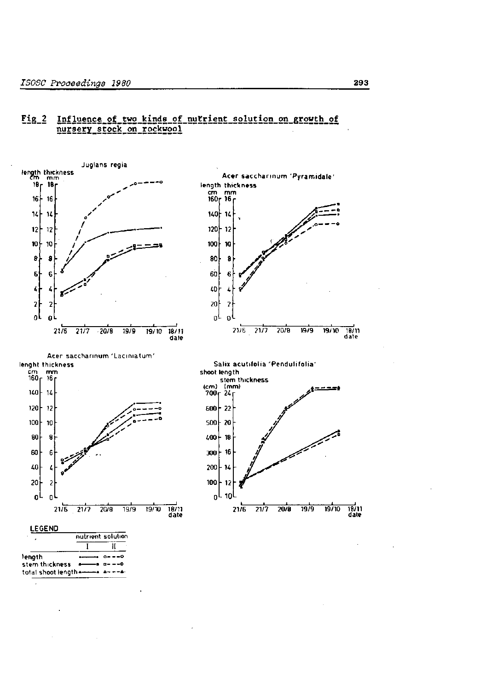#### Influence of two kinds of nutrient solution on growth of  $Fig. 2$ nursery\_stock\_on\_rockwool



293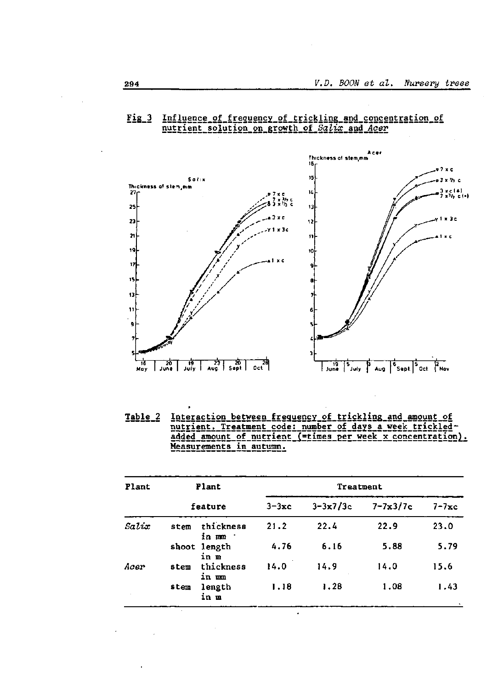# Fig.3 Influence of frequency of trickling and concentration of nutrient solution on growth of Salix and Acer



Table\_2 Interaction\_between\_frequency\_of\_trickling\_and\_amount\_of nutrient. Treatment code: number of days a week trickledadded amount of nutrient (=times per week x concentration). Measurements in autumn.

| Plant | Plant |                      | Treatment  |              |                       |                  |  |  |
|-------|-------|----------------------|------------|--------------|-----------------------|------------------|--|--|
|       |       | feature              | $3 - 3x$ c | $3 - 3x7/3c$ | $7 - 7 \times 3 / 7c$ | $7 - 7 \times c$ |  |  |
| Saltx | stem  | thickness<br>in mm   | 21.2       | 22.4         | 22.9                  | 23.0             |  |  |
|       |       | shoot length<br>in m | 4.76       | 6.16         | 5.88                  | 5.79             |  |  |
| Acer  | stem  | thickness<br>in um   | 14.0       | 14.9         | 14.0                  | 15.6             |  |  |
|       | stem  | length<br>in m       | 1.18       | 1.28         | 1.08                  | 1.43             |  |  |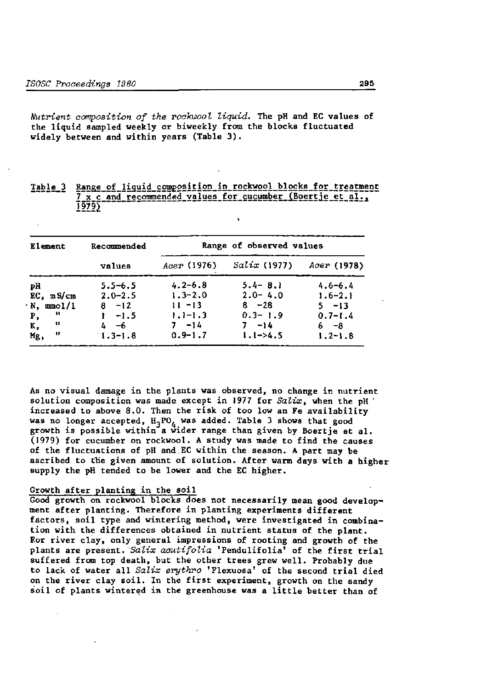Nutrient composition of the rockwool liquid. The pH and EC values of the liquid sampled weekly or biweekly from the blocks fluctuated widely between and within years (Table 3).

| Element         | Recommended | Range of observed values |                 |             |  |  |
|-----------------|-------------|--------------------------|-----------------|-------------|--|--|
|                 | values      | Acer (1976)              | $Sali x$ (1977) | Acer (1978) |  |  |
| рH              | $5.5 - 6.5$ | $4.2 - 6.8$              | $5.4 - 8.1$     | $4.6 - 6.4$ |  |  |
| $EC$ , m $S/cm$ | $2.0 - 2.5$ | $1.3 - 2.0$              | $2.0 - 4.0$     | $1.6 - 2.1$ |  |  |
| $N, \mod l/1$   | $8 - 12$    | $11 - 13$                | $8 - 28$        | $5 - 13$    |  |  |
| n<br>Р,         | $-1.5$      | $1.1 - 1.3$              | $0.3 - 1.9$     | $0.7 - 1.4$ |  |  |
| n<br>К,         | 4—6         | $7 - 14$                 | $7 - 14$        | 6—8         |  |  |
| .,<br>Mg,       | $1.3 - 1.8$ | $0.9 - 1.7$              | $1.1 - 24.5$    | $1.2 - 1.8$ |  |  |

Range of liquid composition in rockwool blocks for treatment Table 3 7 x c and recommended values for cucumber (Boertje et al.,  $1979$ 

As no visual damage in the plants was observed, no change in nutrient solution composition was made except in 1977 for Salix, when the pH increased to above 8.0. Then the risk of too low an Fe availability was no longer accepted,  $H_3PO_A$  was added. Table 3 shows that good growth is possible within a wider range than given by Boertje et al. (1979) for cucumber on rockwool. A study was made to find the causes of the fluctuations of pH and EC within the season. A part may be ascribed to the given amount of solution. After warm days with a higher supply the pH tended to be lower and the EC higher.

### Growth after planting in the soil

Good growth on rockwool blocks does not necessarily mean good development after planting. Therefore in planting experiments different factors, soil type and wintering method, were investigated in combination with the differences obtained in nutrient status of the plant. For river clay, only general impressions of rooting and growth of the plants are present. Salix acutifolia 'Pendulifolia' of the first trial suffered from top death, but the other trees grew well. Probably due to lack of water all Salix erythro 'Flexuosa' of the second trial died on the river clay soil. In the first experiment, growth on the sandy soil of plants wintered in the greenhouse was a little better than of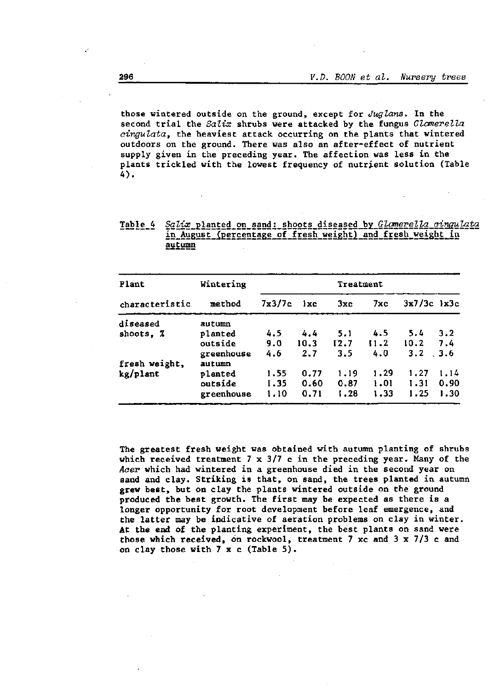those wintered outside on the ground, except for *Jugions.* In the second trial the *Salix* shrubs were attacked by the fungus *Glomerella cingulata,* the heaviest attack occurring on the plants that wintered outdoors on the ground. There was also an after-effect of nutrient supply given in the preceding year. The affection was less in the plants trickled with the lowest frequency of nutrient solution (Table 4).

Table 4 Salix planted on sand: shoots diseased by Glomerella cinqulata in August (percentage of fresh weight) and fresh weight in autumn

| Plant          | Wintering  | Treatment |              |      |        |                 |      |  |
|----------------|------------|-----------|--------------|------|--------|-----------------|------|--|
| characteristic | method     | 7x3/7c    | $1 \times c$ | 3xc  | $7x$ c | $3x7/3c$ $1x3c$ |      |  |
| diseased       | autumn     |           |              |      |        |                 |      |  |
| shoots. Z      | planted    | 4.5       | 4.4          | 5.1  | 4.5    | 5.4             | 3.2  |  |
|                | outside    | 9.0       | 10.3         | 12.7 | 11.2   | 10.2            | 7.4  |  |
|                | greenhouse | 4.6       | 2.7          | 3.5  | 4.0    | 3.2             | 3.6  |  |
| fresh weight,  | autumn     |           |              |      |        |                 |      |  |
| kg/plant       | planted    | 1.55      | 0.77         | 1.19 | 1.29   | 1.27            | 1.14 |  |
|                | outside    | 1.35      | 0.60         | 0.87 | 1.01   | 1.31            | 0.90 |  |
|                | greenhouse | 1.10      | 0.71         | 1.28 | 1.33   | 1.25            | 1.30 |  |

The greatest fresh weight was obtained with autumn planting of shrubs which received treatment  $7 \times 3/7$  c in the preceding year. Many of the *Acer* which had wintered in a greenhouse died in the second year on sand and clay. Striking is that, on sand, the trees planted in autumn grew best, but on clay the plants wintered outside on the ground produced the best growth. The first may be expected as there is a longer opportunity for root development before leaf emergence, and the latter may be indicative of aeration problems on clay in winter. At **the** end of the planting experiment, the best plants on sand were those which received, on rockwool, treatment 7 xc and 3 x 7/3 c and on clay those with 7 x c (Table 5).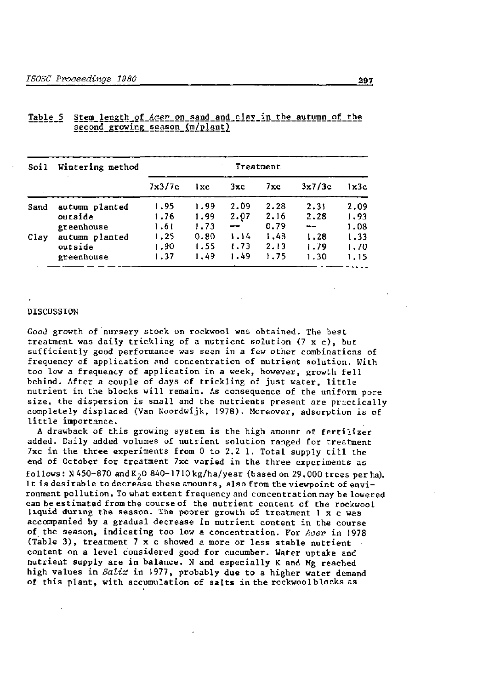| Soil | Wintering method      | Treatment    |              |             |              |                    |              |  |
|------|-----------------------|--------------|--------------|-------------|--------------|--------------------|--------------|--|
|      |                       | 7x3/7c       | l xc         | 3xc         | $7 \times c$ | 3x7/3c             | lx3c         |  |
| Sand | autumn planted        | 1.95         | 1.99         | 2.09        | 2.28         | 2.31               | 2.09         |  |
|      | outside<br>greenhouse | 1.76<br>1.61 | 1.99<br>1.73 | 2.07<br>$-$ | 2.16<br>0.79 | 2.28<br>$\sim$ $-$ | 1.93<br>1.08 |  |
| Clay | autumn planted        | 1.25         | 0.80         | 1.14        | 1.48         | 1.28               | 1.33         |  |
|      | outside               | 1.90         | 1.55         | 1.73        | 2.13         | 1.79               | 1.70         |  |
|      | greenhouse            | 1.37         | 1.49         | 1.49        | 1.75         | 1.30               | 1.15         |  |

# Table\_5 Stem\_length\_of\_Acer\_on\_sand\_and\_clay\_in\_the\_autumn\_of\_the <u>second growing season (m/plant)</u>

### DISCUSSION

Good growth of nursery stock on rockwool was obtained. The best treatment was daily trickling of a nutrient solution  $(7 \times c)$ , but sufficiently good performance was seen in a few other combinations of frequency of application and concentration of nutrient solution. With too low a frequency of application in a week, however, growth fell behind. After a couple of days of trickling of just water, little nutrient in the blocks will remain. As consequence of the uniform pore size, the dispersion is small and the nutrients present are practically completely displaced (Van Noordwijk, 1978). Moreover, adsorption is of little importance.

A drawback of this growing system is the high amount of fertilizer added. Daily added volumes of nutrient solution ranged for treatment 7xc in the three experiments from 0 to 2.2 1. Total supply till the end of October for treatment 7xc varied in the three experiments as follows:  $N450-870$  and  $K<sub>2</sub>0$  840-1710 kg/ha/year (based on 29.000 trees per ha). It is desirable to decrease these amounts, also from the viewpoint of environment pollution. To what extent frequency and concentration may be lowered can be estimated from the course of the nutrient content of the rockwool liquid during the season. The poorer growth of treatment 1 x c was accompanied by a gradual decrease in nutrient content in the course of the season, indicating too low a concentration. For *Acer* in 1978 (Table 3) , treatment 7 x c showed a more or less stable nutrient content on a level considered good for cucumber. Water uptake and nutrient supply are in balance. N and especially K and Mg reached high values in *Salix* in 1977, probably due to a higher water demand of this plant, with accumulation of salts in the rockwool blocks as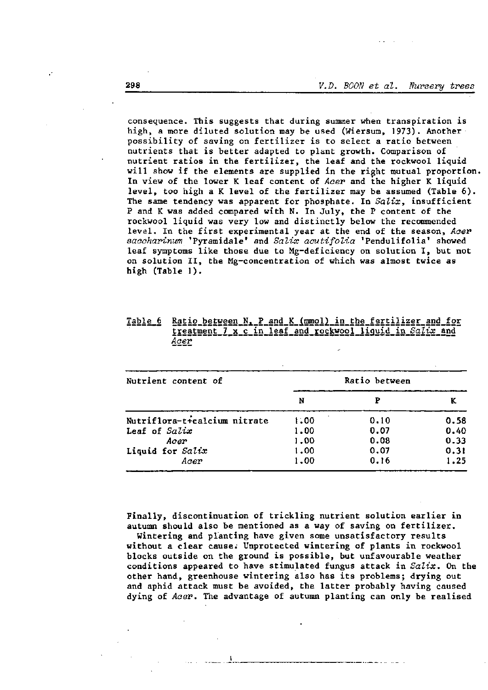consequence. This suggests that during summer when transpiration is high, a more diluted solution may be used (Wiersum, 1973). Another possibility of saving on fertilizer is to select a ratio between nutrients that is better adapted to plant growth. Comparison of nutrient ratios in the fertilizer, the leaf and the rockwool liquid will show if the elements are supplied in the right mutual proportion. In view of the lower K leaf content of Acer and the higher K liquid level, too high a K level of the fertilizer may be assumed (Table 6). The same tendency was apparent for phosphate. In  $Saltx$ , insufficient P and K was added compared with N. In July, the P content of the rockwool liquid was very low and distinctly below the recommended level. In the first experimental year at the end of the season, Acer saccharinum 'Pyramidale' and Salix acutifolia 'Pendulifolia' showed leaf symptoms like those due to Mg-deficiency on solution I, but not on solution II, the Mg-concentration of which was almost twice as high (Table 1).

| Table 6<br>------- |      |  |  | Ratio between N. P and K (mmol) in the fertilizer and for |
|--------------------|------|--|--|-----------------------------------------------------------|
|                    |      |  |  | treatment 7 x c in leaf and rockwool liguid in Salix and  |
|                    | Acer |  |  |                                                           |
|                    | ---- |  |  |                                                           |

| Nutrient content of          |      | Ratio between |      |
|------------------------------|------|---------------|------|
|                              | N    |               |      |
| Nutriflora-t+calcium nitrate | 1.00 | 0.10          | 0.58 |
| Leaf of Salix                | 1.00 | 0.07          | 0.40 |
| Acer                         | 1.00 | 0.08          | 0.33 |
| Liquid for Salix             | 1.00 | 0.07          | 0.31 |
| Acer                         | 1.00 | 0.16          | 1.25 |

Finally, discontinuation of trickling nutrient solution earlier in autumn should also be mentioned as a way of saving on fertilizer.

Wintering and planting have given some unsatisfactory results without a clear cause. Unprotected wintering of plants in rockwool blocks outside on the ground is possible, but unfavourable weather conditions appeared to have stimulated fungus attack in  $Sali\mathbf{x}$ . On the other hand, greenhouse wintering also has its problems; drying out and aphid attack must be avoided, the latter probably having caused dying of Acer. The advantage of autumn planting can only be realised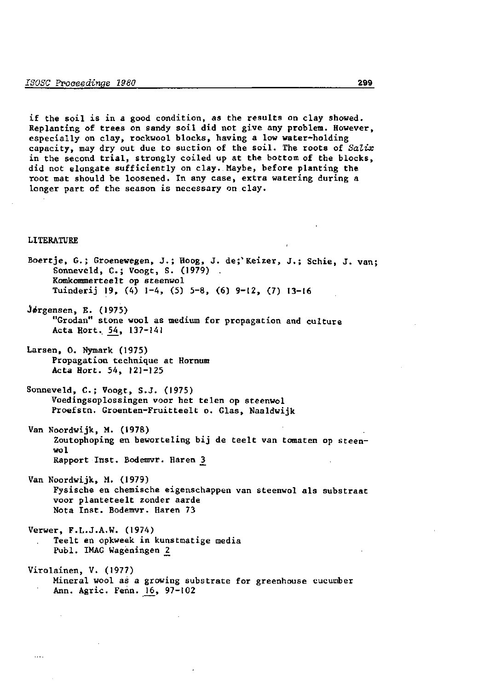if the soil is in a good condition, as the results on clay showed. Replanting of trees on sandy soil did not give any problem. However, especially on clay, rockwool blocks, having a low water-holding capacity, may dry out due to suction of the soil. The roots of *Salix*  in the second trial, strongly coiled up at the bottom of the blocks, did not elongate sufficiently on clay. Maybe, before planting the root mat should be loosened. In any case, extra watering during a longer part of the season is necessary on clay.

### LITERATURE

Boertje, G.; Groenewegen, J.; Hoog, J. de;" Keizer, J.; Schie, J. van; Sonneveld, C.; Voogt, S. (1979) . Komkommerteelt op steenwol Tuinderij 19, (4) 1-4, (5) 5-8, (6) 9-12, (7) 13-16 Jørgensen, E. (1975) "Grodan" stone wool as medium for propagation and culture Acta Hort. 54, 137-141 Larsen, 0. Nymark (1975) Propagation technique at Hornum Acta Hort. 54, 121-125 Sonneveld, C.; Voogt, S.J. (1975) Voedingsoplossingen voor het telen op steenwol Proefstn. Groenten-Fruitteelt o. Glas, Naaldwijk Van Noordwijk, M. (1978) Zoutophoping en beworteling bij de teelt van tomaten op steenwol Rapport Inst. Bodemvr. Haren^ 3 Van Noordwijk, M. (1979) Fysische en chemische eigenschappen van steenwol als substraat voor planteteelt zonder aarde Nota Inst. Bodemvr. Haren 73 Verwer, F.L.J.A.W. (1974) Teelt en opkweek in kunstmatige media Publ. IMAG Wageningen *2*  Virolainen, V. (1977) Mineral wool as a growing substrate for greenhouse cucumber Ann. Agric. Fenn. 16, 97-102